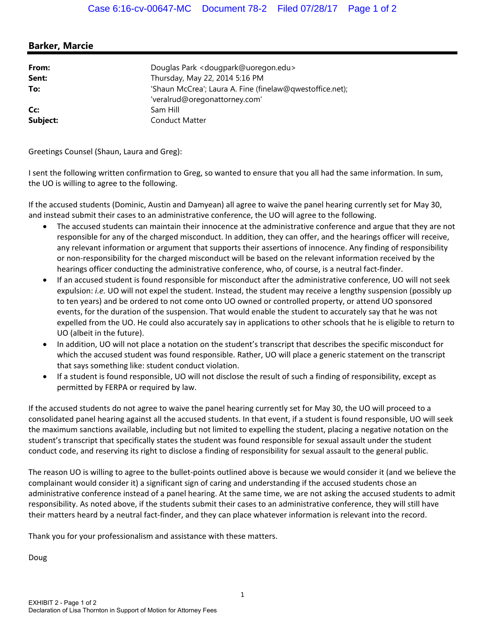## **Barker, Marcie**

| From:    | Douglas Park < dougpark@uoregon.edu>                     |
|----------|----------------------------------------------------------|
| Sent:    | Thursday, May 22, 2014 5:16 PM                           |
| To:      | 'Shaun McCrea'; Laura A. Fine (finelaw@qwestoffice.net); |
|          | 'veralrud@oregonattorney.com'                            |
| Cc:      | Sam Hill                                                 |
| Subject: | <b>Conduct Matter</b>                                    |

Greetings Counsel (Shaun, Laura and Greg):

I sent the following written confirmation to Greg, so wanted to ensure that you all had the same information. In sum, the UO is willing to agree to the following.

If the accused students (Dominic, Austin and Damyean) all agree to waive the panel hearing currently set for May 30, and instead submit their cases to an administrative conference, the UO will agree to the following.

- The accused students can maintain their innocence at the administrative conference and argue that they are not responsible for any of the charged misconduct. In addition, they can offer, and the hearings officer will receive, any relevant information or argument that supports their assertions of innocence. Any finding of responsibility or non‐responsibility for the charged misconduct will be based on the relevant information received by the hearings officer conducting the administrative conference, who, of course, is a neutral fact-finder.
- If an accused student is found responsible for misconduct after the administrative conference, UO will not seek expulsion: *i.e.* UO will not expel the student. Instead, the student may receive a lengthy suspension (possibly up to ten years) and be ordered to not come onto UO owned or controlled property, or attend UO sponsored events, for the duration of the suspension. That would enable the student to accurately say that he was not expelled from the UO. He could also accurately say in applications to other schools that he is eligible to return to UO (albeit in the future).
- In addition, UO will not place a notation on the student's transcript that describes the specific misconduct for which the accused student was found responsible. Rather, UO will place a generic statement on the transcript that says something like: student conduct violation.
- If a student is found responsible, UO will not disclose the result of such a finding of responsibility, except as permitted by FERPA or required by law.

If the accused students do not agree to waive the panel hearing currently set for May 30, the UO will proceed to a consolidated panel hearing against all the accused students. In that event, if a student is found responsible, UO will seek the maximum sanctions available, including but not limited to expelling the student, placing a negative notation on the student's transcript that specifically states the student was found responsible for sexual assault under the student conduct code, and reserving its right to disclose a finding of responsibility for sexual assault to the general public.

The reason UO is willing to agree to the bullet‐points outlined above is because we would consider it (and we believe the complainant would consider it) a significant sign of caring and understanding if the accused students chose an administrative conference instead of a panel hearing. At the same time, we are not asking the accused students to admit responsibility. As noted above, if the students submit their cases to an administrative conference, they will still have their matters heard by a neutral fact‐finder, and they can place whatever information is relevant into the record.

Thank you for your professionalism and assistance with these matters.

Doug